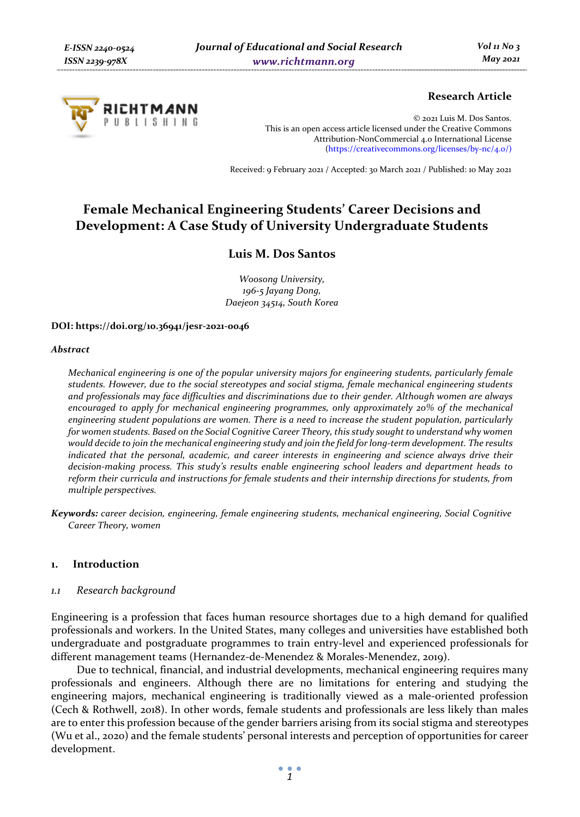

# **Research Article**

© 2021 Luis M. Dos Santos. This is an open access article licensed under the Creative Commons Attribution-NonCommercial 4.0 International License (https://creativecommons.org/licenses/by-nc/4.0/)

Received: 9 February 2021 / Accepted: 30 March 2021 / Published: 10 May 2021

# **Female Mechanical Engineering Students' Career Decisions and Development: A Case Study of University Undergraduate Students**

# **Luis M. Dos Santos**

*Woosong University, 196-5 Jayang Dong, Daejeon 34514, South Korea* 

#### **DOI: https://doi.org/10.36941/jesr-2021-0046**

#### *Abstract*

*Mechanical engineering is one of the popular university majors for engineering students, particularly female students. However, due to the social stereotypes and social stigma, female mechanical engineering students and professionals may face difficulties and discriminations due to their gender. Although women are always encouraged to apply for mechanical engineering programmes, only approximately 20% of the mechanical engineering student populations are women. There is a need to increase the student population, particularly for women students. Based on the Social Cognitive Career Theory, this study sought to understand why women would decide to join the mechanical engineering study and join the field for long-term development. The results indicated that the personal, academic, and career interests in engineering and science always drive their decision-making process. This study's results enable engineering school leaders and department heads to reform their curricula and instructions for female students and their internship directions for students, from multiple perspectives.* 

*Keywords: career decision, engineering, female engineering students, mechanical engineering, Social Cognitive Career Theory, women* 

# **1. Introduction**

# *1.1 Research background*

Engineering is a profession that faces human resource shortages due to a high demand for qualified professionals and workers. In the United States, many colleges and universities have established both undergraduate and postgraduate programmes to train entry-level and experienced professionals for different management teams (Hernandez-de-Menendez & Morales-Menendez, 2019).

Due to technical, financial, and industrial developments, mechanical engineering requires many professionals and engineers. Although there are no limitations for entering and studying the engineering majors, mechanical engineering is traditionally viewed as a male-oriented profession (Cech & Rothwell, 2018). In other words, female students and professionals are less likely than males are to enter this profession because of the gender barriers arising from its social stigma and stereotypes (Wu et al., 2020) and the female students' personal interests and perception of opportunities for career development.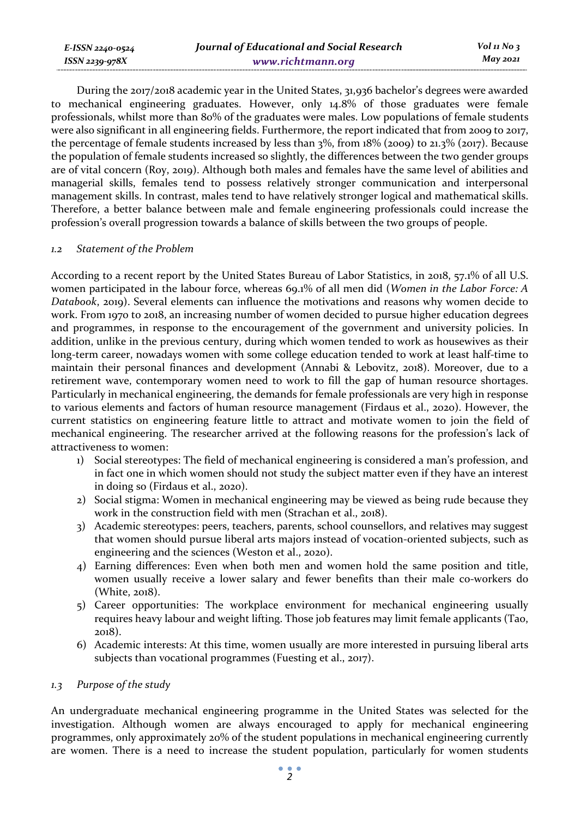| E-ISSN 2240-0524 | Journal of Educational and Social Research | $Vol_1N_0$ 3 |
|------------------|--------------------------------------------|--------------|
| ISSN 2239-978X   | www.richtmann.org                          | May 2021     |

During the 2017/2018 academic year in the United States, 31,936 bachelor's degrees were awarded to mechanical engineering graduates. However, only 14.8% of those graduates were female professionals, whilst more than 80% of the graduates were males. Low populations of female students were also significant in all engineering fields. Furthermore, the report indicated that from 2009 to 2017, the percentage of female students increased by less than 3%, from 18% (2009) to 21.3% (2017). Because the population of female students increased so slightly, the differences between the two gender groups are of vital concern (Roy, 2019). Although both males and females have the same level of abilities and managerial skills, females tend to possess relatively stronger communication and interpersonal management skills. In contrast, males tend to have relatively stronger logical and mathematical skills. Therefore, a better balance between male and female engineering professionals could increase the profession's overall progression towards a balance of skills between the two groups of people.

# *1.2 Statement of the Problem*

According to a recent report by the United States Bureau of Labor Statistics, in 2018, 57.1% of all U.S. women participated in the labour force, whereas 69.1% of all men did (*Women in the Labor Force: A Databook*, 2019). Several elements can influence the motivations and reasons why women decide to work. From 1970 to 2018, an increasing number of women decided to pursue higher education degrees and programmes, in response to the encouragement of the government and university policies. In addition, unlike in the previous century, during which women tended to work as housewives as their long-term career, nowadays women with some college education tended to work at least half-time to maintain their personal finances and development (Annabi & Lebovitz, 2018). Moreover, due to a retirement wave, contemporary women need to work to fill the gap of human resource shortages. Particularly in mechanical engineering, the demands for female professionals are very high in response to various elements and factors of human resource management (Firdaus et al., 2020). However, the current statistics on engineering feature little to attract and motivate women to join the field of mechanical engineering. The researcher arrived at the following reasons for the profession's lack of attractiveness to women:

- 1) Social stereotypes: The field of mechanical engineering is considered a man's profession, and in fact one in which women should not study the subject matter even if they have an interest in doing so (Firdaus et al., 2020).
- 2) Social stigma: Women in mechanical engineering may be viewed as being rude because they work in the construction field with men (Strachan et al., 2018).
- 3) Academic stereotypes: peers, teachers, parents, school counsellors, and relatives may suggest that women should pursue liberal arts majors instead of vocation-oriented subjects, such as engineering and the sciences (Weston et al., 2020).
- 4) Earning differences: Even when both men and women hold the same position and title, women usually receive a lower salary and fewer benefits than their male co-workers do (White, 2018).
- 5) Career opportunities: The workplace environment for mechanical engineering usually requires heavy labour and weight lifting. Those job features may limit female applicants (Tao, 2018).
- 6) Academic interests: At this time, women usually are more interested in pursuing liberal arts subjects than vocational programmes (Fuesting et al., 2017).

#### *1.3 Purpose of the study*

An undergraduate mechanical engineering programme in the United States was selected for the investigation. Although women are always encouraged to apply for mechanical engineering programmes, only approximately 20% of the student populations in mechanical engineering currently are women. There is a need to increase the student population, particularly for women students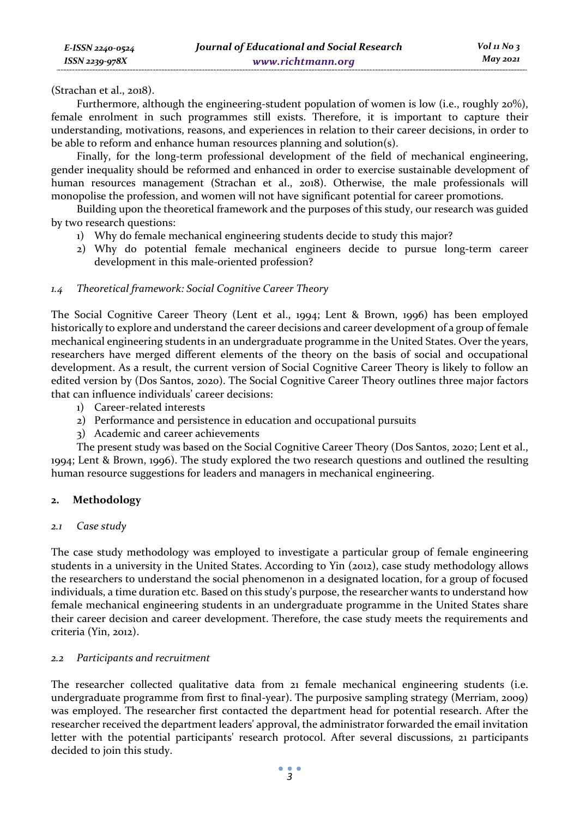(Strachan et al., 2018).

Furthermore, although the engineering-student population of women is low (i.e., roughly 20%), female enrolment in such programmes still exists. Therefore, it is important to capture their understanding, motivations, reasons, and experiences in relation to their career decisions, in order to be able to reform and enhance human resources planning and solution(s).

Finally, for the long-term professional development of the field of mechanical engineering, gender inequality should be reformed and enhanced in order to exercise sustainable development of human resources management (Strachan et al., 2018). Otherwise, the male professionals will monopolise the profession, and women will not have significant potential for career promotions.

Building upon the theoretical framework and the purposes of this study, our research was guided by two research questions:

- 1) Why do female mechanical engineering students decide to study this major?
- 2) Why do potential female mechanical engineers decide to pursue long-term career development in this male-oriented profession?

# *1.4 Theoretical framework: Social Cognitive Career Theory*

The Social Cognitive Career Theory (Lent et al., 1994; Lent & Brown, 1996) has been employed historically to explore and understand the career decisions and career development of a group of female mechanical engineering students in an undergraduate programme in the United States. Over the years, researchers have merged different elements of the theory on the basis of social and occupational development. As a result, the current version of Social Cognitive Career Theory is likely to follow an edited version by (Dos Santos, 2020). The Social Cognitive Career Theory outlines three major factors that can influence individuals' career decisions:

- 1) Career-related interests
- 2) Performance and persistence in education and occupational pursuits
- 3) Academic and career achievements

The present study was based on the Social Cognitive Career Theory (Dos Santos, 2020; Lent et al., 1994; Lent & Brown, 1996). The study explored the two research questions and outlined the resulting human resource suggestions for leaders and managers in mechanical engineering.

# **2. Methodology**

# *2.1 Case study*

The case study methodology was employed to investigate a particular group of female engineering students in a university in the United States. According to Yin (2012), case study methodology allows the researchers to understand the social phenomenon in a designated location, for a group of focused individuals, a time duration etc. Based on this study's purpose, the researcher wants to understand how female mechanical engineering students in an undergraduate programme in the United States share their career decision and career development. Therefore, the case study meets the requirements and criteria (Yin, 2012).

# *2.2 Participants and recruitment*

The researcher collected qualitative data from 21 female mechanical engineering students (i.e. undergraduate programme from first to final-year). The purposive sampling strategy (Merriam, 2009) was employed. The researcher first contacted the department head for potential research. After the researcher received the department leaders' approval, the administrator forwarded the email invitation letter with the potential participants' research protocol. After several discussions, 21 participants decided to join this study.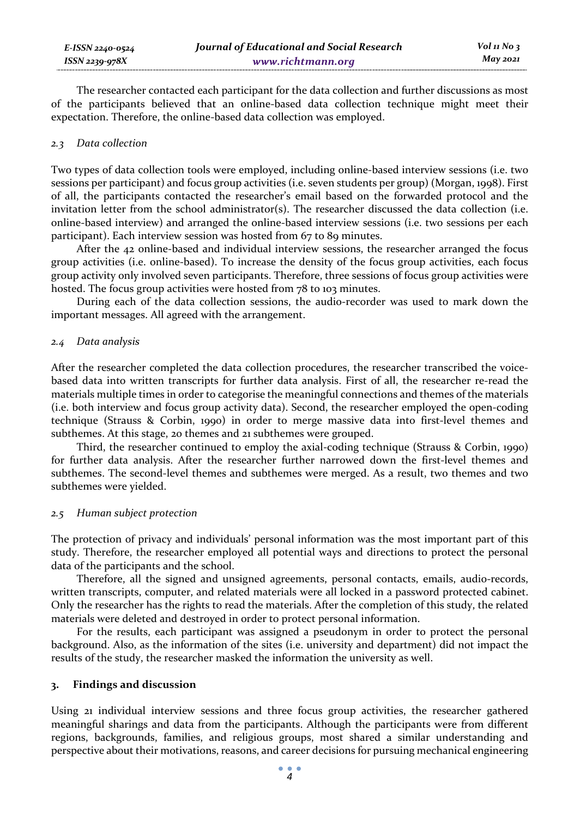| E-ISSN 2240-0524   | Journal of Educational and Social Research |
|--------------------|--------------------------------------------|
| $ISSN 2239 - 978X$ | www.richtmann.org                          |

The researcher contacted each participant for the data collection and further discussions as most of the participants believed that an online-based data collection technique might meet their expectation. Therefore, the online-based data collection was employed.

#### *2.3 Data collection*

Two types of data collection tools were employed, including online-based interview sessions (i.e. two sessions per participant) and focus group activities (i.e. seven students per group) (Morgan, 1998). First of all, the participants contacted the researcher's email based on the forwarded protocol and the invitation letter from the school administrator(s). The researcher discussed the data collection (i.e. online-based interview) and arranged the online-based interview sessions (i.e. two sessions per each participant). Each interview session was hosted from 67 to 89 minutes.

After the 42 online-based and individual interview sessions, the researcher arranged the focus group activities (i.e. online-based). To increase the density of the focus group activities, each focus group activity only involved seven participants. Therefore, three sessions of focus group activities were hosted. The focus group activities were hosted from 78 to 103 minutes.

During each of the data collection sessions, the audio-recorder was used to mark down the important messages. All agreed with the arrangement.

#### *2.4 Data analysis*

After the researcher completed the data collection procedures, the researcher transcribed the voicebased data into written transcripts for further data analysis. First of all, the researcher re-read the materials multiple times in order to categorise the meaningful connections and themes of the materials (i.e. both interview and focus group activity data). Second, the researcher employed the open-coding technique (Strauss & Corbin, 1990) in order to merge massive data into first-level themes and subthemes. At this stage, 20 themes and 21 subthemes were grouped.

Third, the researcher continued to employ the axial-coding technique (Strauss & Corbin, 1990) for further data analysis. After the researcher further narrowed down the first-level themes and subthemes. The second-level themes and subthemes were merged. As a result, two themes and two subthemes were yielded.

#### *2.5 Human subject protection*

The protection of privacy and individuals' personal information was the most important part of this study. Therefore, the researcher employed all potential ways and directions to protect the personal data of the participants and the school.

Therefore, all the signed and unsigned agreements, personal contacts, emails, audio-records, written transcripts, computer, and related materials were all locked in a password protected cabinet. Only the researcher has the rights to read the materials. After the completion of this study, the related materials were deleted and destroyed in order to protect personal information.

For the results, each participant was assigned a pseudonym in order to protect the personal background. Also, as the information of the sites (i.e. university and department) did not impact the results of the study, the researcher masked the information the university as well.

## **3. Findings and discussion**

Using 21 individual interview sessions and three focus group activities, the researcher gathered meaningful sharings and data from the participants. Although the participants were from different regions, backgrounds, families, and religious groups, most shared a similar understanding and perspective about their motivations, reasons, and career decisions for pursuing mechanical engineering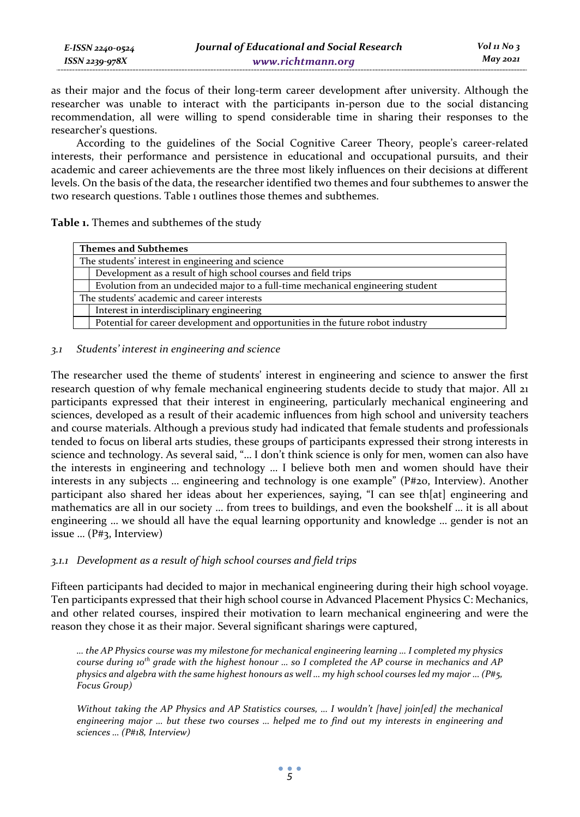as their major and the focus of their long-term career development after university. Although the researcher was unable to interact with the participants in-person due to the social distancing recommendation, all were willing to spend considerable time in sharing their responses to the researcher's questions.

According to the guidelines of the Social Cognitive Career Theory, people's career-related interests, their performance and persistence in educational and occupational pursuits, and their academic and career achievements are the three most likely influences on their decisions at different levels. On the basis of the data, the researcher identified two themes and four subthemes to answer the two research questions. Table 1 outlines those themes and subthemes.

# **Table 1.** Themes and subthemes of the study

*E-ISSN 2240-0524 ISSN 2239-978X*

| <b>Themes and Subthemes</b>                       |                                                                                 |  |
|---------------------------------------------------|---------------------------------------------------------------------------------|--|
| The students' interest in engineering and science |                                                                                 |  |
|                                                   | Development as a result of high school courses and field trips                  |  |
|                                                   | Evolution from an undecided major to a full-time mechanical engineering student |  |
| The students' academic and career interests       |                                                                                 |  |
|                                                   | Interest in interdisciplinary engineering                                       |  |
|                                                   | Potential for career development and opportunities in the future robot industry |  |

# *3.1 Students' interest in engineering and science*

The researcher used the theme of students' interest in engineering and science to answer the first research question of why female mechanical engineering students decide to study that major. All 21 participants expressed that their interest in engineering, particularly mechanical engineering and sciences, developed as a result of their academic influences from high school and university teachers and course materials. Although a previous study had indicated that female students and professionals tended to focus on liberal arts studies, these groups of participants expressed their strong interests in science and technology. As several said, "… I don't think science is only for men, women can also have the interests in engineering and technology … I believe both men and women should have their interests in any subjects … engineering and technology is one example" (P#20, Interview). Another participant also shared her ideas about her experiences, saying, "I can see th[at] engineering and mathematics are all in our society … from trees to buildings, and even the bookshelf … it is all about engineering … we should all have the equal learning opportunity and knowledge … gender is not an issue … (P#3, Interview)

# *3.1.1 Development as a result of high school courses and field trips*

Fifteen participants had decided to major in mechanical engineering during their high school voyage. Ten participants expressed that their high school course in Advanced Placement Physics C: Mechanics, and other related courses, inspired their motivation to learn mechanical engineering and were the reason they chose it as their major. Several significant sharings were captured,

*… the AP Physics course was my milestone for mechanical engineering learning … I completed my physics course during 10th grade with the highest honour … so I completed the AP course in mechanics and AP physics and algebra with the same highest honours as well … my high school courses led my major … (P#5, Focus Group)* 

*Without taking the AP Physics and AP Statistics courses, … I wouldn't [have] join[ed] the mechanical engineering major … but these two courses … helped me to find out my interests in engineering and sciences … (P#18, Interview)*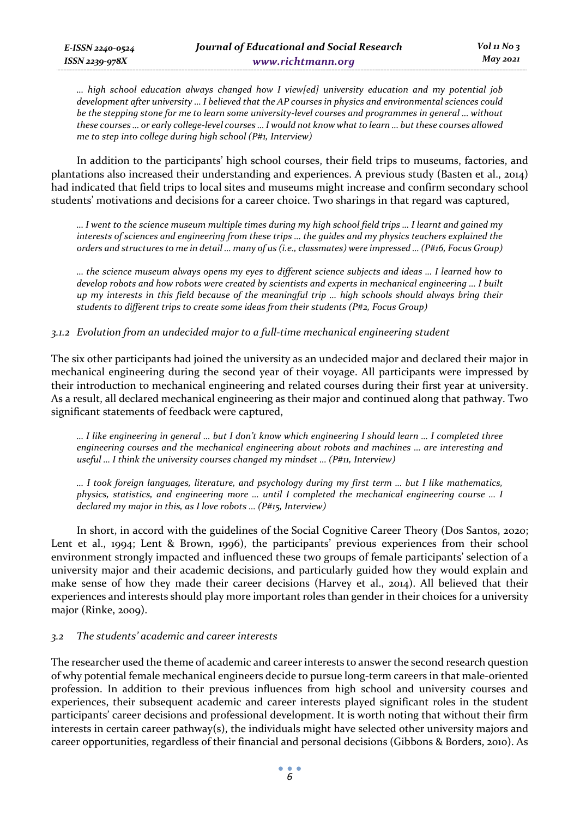*… high school education always changed how I view[ed] university education and my potential job development after university … I believed that the AP courses in physics and environmental sciences could be the stepping stone for me to learn some university-level courses and programmes in general … without these courses … or early college-level courses … I would not know what to learn … but these courses allowed me to step into college during high school (P#1, Interview)* 

In addition to the participants' high school courses, their field trips to museums, factories, and plantations also increased their understanding and experiences. A previous study (Basten et al., 2014) had indicated that field trips to local sites and museums might increase and confirm secondary school students' motivations and decisions for a career choice. Two sharings in that regard was captured,

*… I went to the science museum multiple times during my high school field trips … I learnt and gained my interests of sciences and engineering from these trips … the guides and my physics teachers explained the orders and structures to me in detail … many of us (i.e., classmates) were impressed … (P#16, Focus Group)* 

*… the science museum always opens my eyes to different science subjects and ideas … I learned how to develop robots and how robots were created by scientists and experts in mechanical engineering … I built up my interests in this field because of the meaningful trip … high schools should always bring their students to different trips to create some ideas from their students (P#2, Focus Group)* 

# *3.1.2 Evolution from an undecided major to a full-time mechanical engineering student*

The six other participants had joined the university as an undecided major and declared their major in mechanical engineering during the second year of their voyage. All participants were impressed by their introduction to mechanical engineering and related courses during their first year at university. As a result, all declared mechanical engineering as their major and continued along that pathway. Two significant statements of feedback were captured,

*… I like engineering in general … but I don't know which engineering I should learn … I completed three engineering courses and the mechanical engineering about robots and machines … are interesting and useful … I think the university courses changed my mindset … (P#11, Interview)* 

*… I took foreign languages, literature, and psychology during my first term … but I like mathematics, physics, statistics, and engineering more … until I completed the mechanical engineering course … I declared my major in this, as I love robots … (P#15, Interview)* 

In short, in accord with the guidelines of the Social Cognitive Career Theory (Dos Santos, 2020; Lent et al., 1994; Lent & Brown, 1996), the participants' previous experiences from their school environment strongly impacted and influenced these two groups of female participants' selection of a university major and their academic decisions, and particularly guided how they would explain and make sense of how they made their career decisions (Harvey et al., 2014). All believed that their experiences and interests should play more important roles than gender in their choices for a university major (Rinke, 2009).

# *3.2 The students' academic and career interests*

The researcher used the theme of academic and career interests to answer the second research question of why potential female mechanical engineers decide to pursue long-term careers in that male-oriented profession. In addition to their previous influences from high school and university courses and experiences, their subsequent academic and career interests played significant roles in the student participants' career decisions and professional development. It is worth noting that without their firm interests in certain career pathway(s), the individuals might have selected other university majors and career opportunities, regardless of their financial and personal decisions (Gibbons & Borders, 2010). As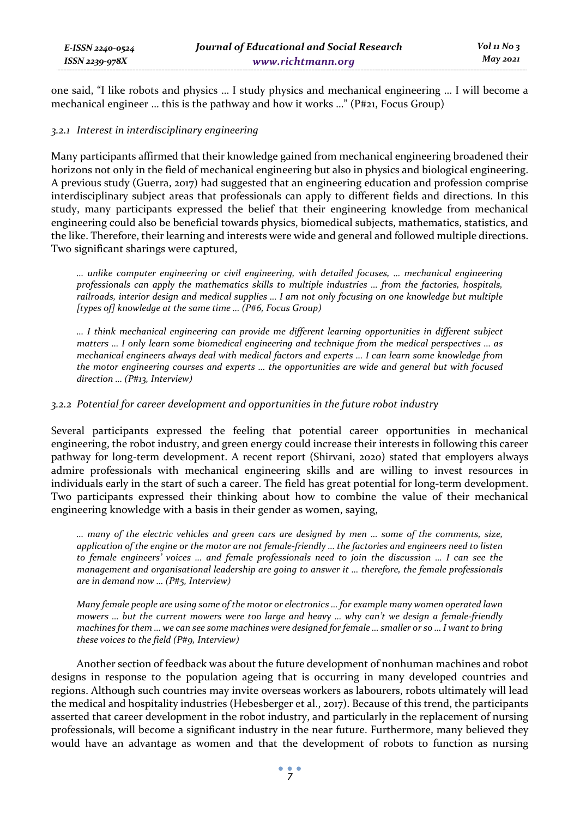one said, "I like robots and physics … I study physics and mechanical engineering … I will become a mechanical engineer … this is the pathway and how it works …" (P#21, Focus Group)

# *3.2.1 Interest in interdisciplinary engineering*

Many participants affirmed that their knowledge gained from mechanical engineering broadened their horizons not only in the field of mechanical engineering but also in physics and biological engineering. A previous study (Guerra, 2017) had suggested that an engineering education and profession comprise interdisciplinary subject areas that professionals can apply to different fields and directions. In this study, many participants expressed the belief that their engineering knowledge from mechanical engineering could also be beneficial towards physics, biomedical subjects, mathematics, statistics, and the like. Therefore, their learning and interests were wide and general and followed multiple directions. Two significant sharings were captured,

*… unlike computer engineering or civil engineering, with detailed focuses, … mechanical engineering professionals can apply the mathematics skills to multiple industries … from the factories, hospitals, railroads, interior design and medical supplies … I am not only focusing on one knowledge but multiple [types of] knowledge at the same time … (P#6, Focus Group)* 

*… I think mechanical engineering can provide me different learning opportunities in different subject matters … I only learn some biomedical engineering and technique from the medical perspectives … as mechanical engineers always deal with medical factors and experts … I can learn some knowledge from the motor engineering courses and experts … the opportunities are wide and general but with focused direction … (P#13, Interview)* 

# *3.2.2 Potential for career development and opportunities in the future robot industry*

Several participants expressed the feeling that potential career opportunities in mechanical engineering, the robot industry, and green energy could increase their interests in following this career pathway for long-term development. A recent report (Shirvani, 2020) stated that employers always admire professionals with mechanical engineering skills and are willing to invest resources in individuals early in the start of such a career. The field has great potential for long-term development. Two participants expressed their thinking about how to combine the value of their mechanical engineering knowledge with a basis in their gender as women, saying,

*… many of the electric vehicles and green cars are designed by men … some of the comments, size, application of the engine or the motor are not female-friendly … the factories and engineers need to listen to female engineers' voices … and female professionals need to join the discussion … I can see the management and organisational leadership are going to answer it … therefore, the female professionals are in demand now … (P#5, Interview)* 

*Many female people are using some of the motor or electronics … for example many women operated lawn mowers … but the current mowers were too large and heavy … why can't we design a female-friendly machines for them … we can see some machines were designed for female … smaller or so … I want to bring these voices to the field (P#9, Interview)* 

Another section of feedback was about the future development of nonhuman machines and robot designs in response to the population ageing that is occurring in many developed countries and regions. Although such countries may invite overseas workers as labourers, robots ultimately will lead the medical and hospitality industries (Hebesberger et al., 2017). Because of this trend, the participants asserted that career development in the robot industry, and particularly in the replacement of nursing professionals, will become a significant industry in the near future. Furthermore, many believed they would have an advantage as women and that the development of robots to function as nursing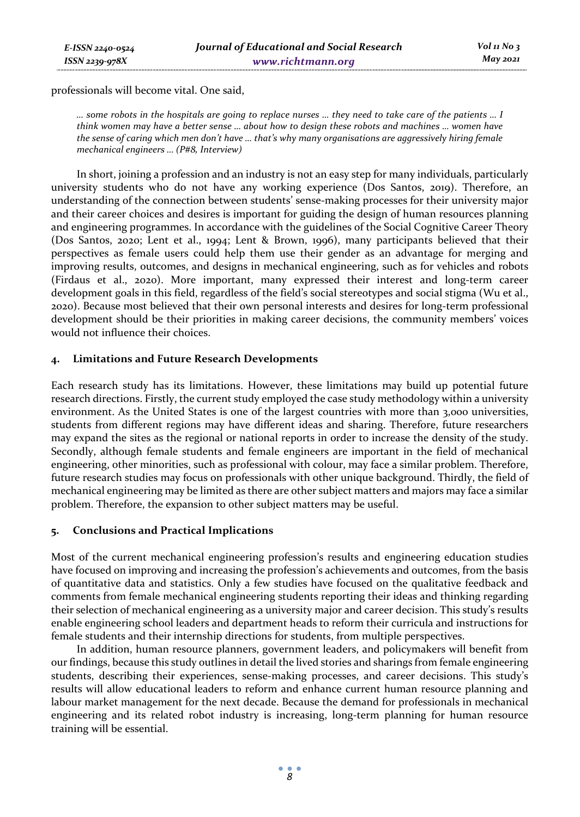professionals will become vital. One said,

*… some robots in the hospitals are going to replace nurses … they need to take care of the patients … I think women may have a better sense … about how to design these robots and machines … women have the sense of caring which men don't have … that's why many organisations are aggressively hiring female mechanical engineers … (P#8, Interview)* 

In short, joining a profession and an industry is not an easy step for many individuals, particularly university students who do not have any working experience (Dos Santos, 2019). Therefore, an understanding of the connection between students' sense-making processes for their university major and their career choices and desires is important for guiding the design of human resources planning and engineering programmes. In accordance with the guidelines of the Social Cognitive Career Theory (Dos Santos, 2020; Lent et al., 1994; Lent & Brown, 1996), many participants believed that their perspectives as female users could help them use their gender as an advantage for merging and improving results, outcomes, and designs in mechanical engineering, such as for vehicles and robots (Firdaus et al., 2020). More important, many expressed their interest and long-term career development goals in this field, regardless of the field's social stereotypes and social stigma (Wu et al., 2020). Because most believed that their own personal interests and desires for long-term professional development should be their priorities in making career decisions, the community members' voices would not influence their choices.

# **4. Limitations and Future Research Developments**

Each research study has its limitations. However, these limitations may build up potential future research directions. Firstly, the current study employed the case study methodology within a university environment. As the United States is one of the largest countries with more than 3,000 universities, students from different regions may have different ideas and sharing. Therefore, future researchers may expand the sites as the regional or national reports in order to increase the density of the study. Secondly, although female students and female engineers are important in the field of mechanical engineering, other minorities, such as professional with colour, may face a similar problem. Therefore, future research studies may focus on professionals with other unique background. Thirdly, the field of mechanical engineering may be limited as there are other subject matters and majors may face a similar problem. Therefore, the expansion to other subject matters may be useful.

# **5. Conclusions and Practical Implications**

Most of the current mechanical engineering profession's results and engineering education studies have focused on improving and increasing the profession's achievements and outcomes, from the basis of quantitative data and statistics. Only a few studies have focused on the qualitative feedback and comments from female mechanical engineering students reporting their ideas and thinking regarding their selection of mechanical engineering as a university major and career decision. This study's results enable engineering school leaders and department heads to reform their curricula and instructions for female students and their internship directions for students, from multiple perspectives.

In addition, human resource planners, government leaders, and policymakers will benefit from our findings, because this study outlines in detail the lived stories and sharings from female engineering students, describing their experiences, sense-making processes, and career decisions. This study's results will allow educational leaders to reform and enhance current human resource planning and labour market management for the next decade. Because the demand for professionals in mechanical engineering and its related robot industry is increasing, long-term planning for human resource training will be essential.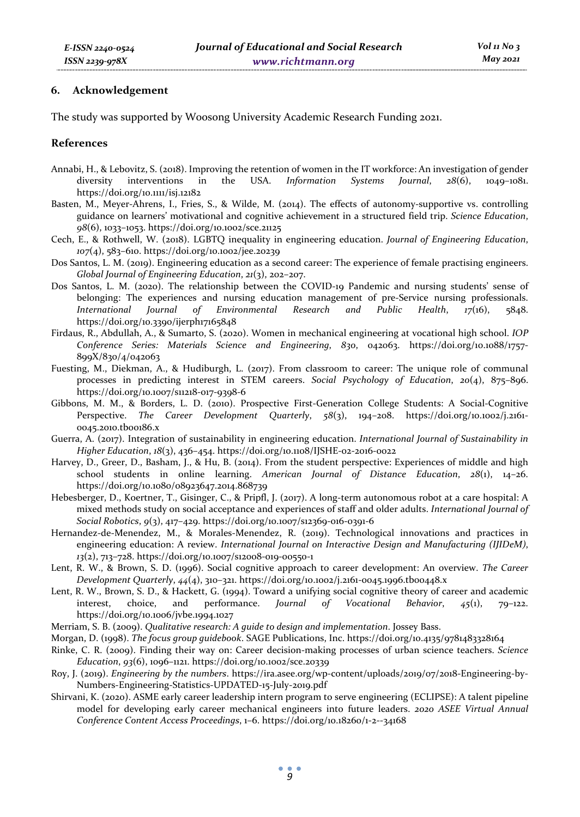# **6. Acknowledgement**

The study was supported by Woosong University Academic Research Funding 2021.

# **References**

- Annabi, H., & Lebovitz, S. (2018). Improving the retention of women in the IT workforce: An investigation of gender diversity interventions in the USA. *Information Systems Journal*, *28*(6), 1049–1081. https://doi.org/10.1111/isj.12182
- Basten, M., Meyer-Ahrens, I., Fries, S., & Wilde, M. (2014). The effects of autonomy-supportive vs. controlling guidance on learners' motivational and cognitive achievement in a structured field trip. *Science Education*, *98*(6), 1033–1053. https://doi.org/10.1002/sce.21125
- Cech, E., & Rothwell, W. (2018). LGBTQ inequality in engineering education. *Journal of Engineering Education*, *107*(4), 583–610. https://doi.org/10.1002/jee.20239
- Dos Santos, L. M. (2019). Engineering education as a second career: The experience of female practising engineers. *Global Journal of Engineering Education*, *21*(3), 202–207.
- Dos Santos, L. M. (2020). The relationship between the COVID-19 Pandemic and nursing students' sense of belonging: The experiences and nursing education management of pre-Service nursing professionals.<br>International Journal of Environmental Research and Public Health, 17(16), 5848. *International Journal of Environmental Research and Public Health*, *17*(16), 5848. https://doi.org/10.3390/ijerph17165848
- Firdaus, R., Abdullah, A., & Sumarto, S. (2020). Women in mechanical engineering at vocational high school. *IOP Conference Series: Materials Science and Engineering*, *830*, 042063. https://doi.org/10.1088/1757- 899X/830/4/042063
- Fuesting, M., Diekman, A., & Hudiburgh, L. (2017). From classroom to career: The unique role of communal processes in predicting interest in STEM careers. *Social Psychology of Education*, *20*(4), 875–896. https://doi.org/10.1007/s11218-017-9398-6
- Gibbons, M. M., & Borders, L. D. (2010). Prospective First-Generation College Students: A Social-Cognitive Perspective. *The Career Development Quarterly*, *58*(3), 194–208. https://doi.org/10.1002/j.2161- 0045.2010.tb00186.x
- Guerra, A. (2017). Integration of sustainability in engineering education. *International Journal of Sustainability in Higher Education*, *18*(3), 436–454. https://doi.org/10.1108/IJSHE-02-2016-0022
- Harvey, D., Greer, D., Basham, J., & Hu, B. (2014). From the student perspective: Experiences of middle and high school students in online learning. *American Journal of Distance Education*, *28*(1), 14–26. https://doi.org/10.1080/08923647.2014.868739
- Hebesberger, D., Koertner, T., Gisinger, C., & Pripfl, J. (2017). A long-term autonomous robot at a care hospital: A mixed methods study on social acceptance and experiences of staff and older adults. *International Journal of Social Robotics*, *9*(3), 417–429. https://doi.org/10.1007/s12369-016-0391-6
- Hernandez-de-Menendez, M., & Morales-Menendez, R. (2019). Technological innovations and practices in engineering education: A review. *International Journal on Interactive Design and Manufacturing (IJIDeM)*, *13*(2), 713–728. https://doi.org/10.1007/s12008-019-00550-1
- Lent, R. W., & Brown, S. D. (1996). Social cognitive approach to career development: An overview. *The Career Development Quarterly*, *44*(4), 310–321. https://doi.org/10.1002/j.2161-0045.1996.tb00448.x
- Lent, R. W., Brown, S. D., & Hackett, G. (1994). Toward a unifying social cognitive theory of career and academic interest, choice, and performance. *Journal of Vocational Behavior*, *45*(1), 79–122. https://doi.org/10.1006/jvbe.1994.1027
- Merriam, S. B. (2009). *Qualitative research: A guide to design and implementation*. Jossey Bass.
- Morgan, D. (1998). *The focus group guidebook*. SAGE Publications, Inc. https://doi.org/10.4135/9781483328164
- Rinke, C. R. (2009). Finding their way on: Career decision-making processes of urban science teachers. *Science Education*, *93*(6), 1096–1121. https://doi.org/10.1002/sce.20339
- Roy, J. (2019). *Engineering by the numbers*. https://ira.asee.org/wp-content/uploads/2019/07/2018-Engineering-by-Numbers-Engineering-Statistics-UPDATED-15-July-2019.pdf
- Shirvani, K. (2020). ASME early career leadership intern program to serve engineering (ECLIPSE): A talent pipeline model for developing early career mechanical engineers into future leaders. *2020 ASEE Virtual Annual Conference Content Access Proceedings*, 1–6. https://doi.org/10.18260/1-2--34168